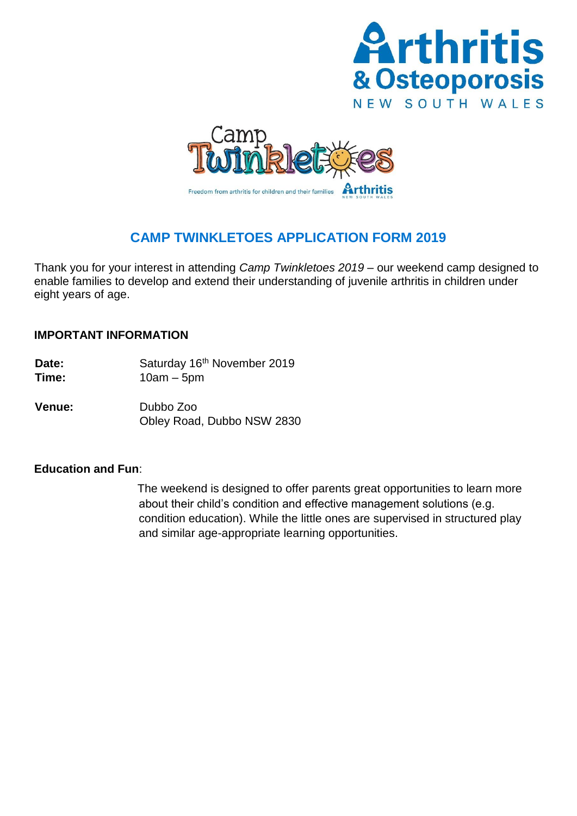



# **CAMP TWINKLETOES APPLICATION FORM 2019**

Thank you for your interest in attending *Camp Twinkletoes 2019* – our weekend camp designed to enable families to develop and extend their understanding of juvenile arthritis in children under eight years of age.

### **IMPORTANT INFORMATION**

- Date: Saturday 16<sup>th</sup> November 2019
- **Time:** 10am 5pm
- **Venue:** Dubbo Zoo Obley Road, Dubbo NSW 2830

## **Education and Fun**:

The weekend is designed to offer parents great opportunities to learn more about their child's condition and effective management solutions (e.g. condition education). While the little ones are supervised in structured play and similar age-appropriate learning opportunities.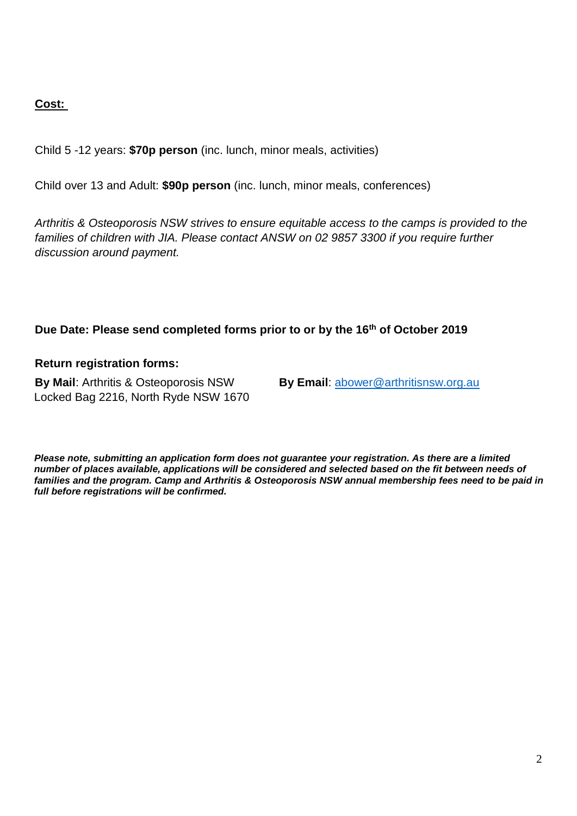# **Cost:**

Child 5 -12 years: **\$70p person** (inc. lunch, minor meals, activities)

Child over 13 and Adult: **\$90p person** (inc. lunch, minor meals, conferences)

*Arthritis & Osteoporosis NSW strives to ensure equitable access to the camps is provided to the*  families of children with JIA. Please contact ANSW on 02 9857 3300 if you require further *discussion around payment.*

## **Due Date: Please send completed forms prior to or by the 16th of October 2019**

### **Return registration forms:**

**By Mail**: Arthritis & Osteoporosis NSW **By Email**: [abower@arthritisnsw.org.au](mailto:abower@arthritisnsw.org.au) Locked Bag 2216, North Ryde NSW 1670

*Please note, submitting an application form does not guarantee your registration. As there are a limited number of places available, applications will be considered and selected based on the fit between needs of families and the program. Camp and Arthritis & Osteoporosis NSW annual membership fees need to be paid in full before registrations will be confirmed.*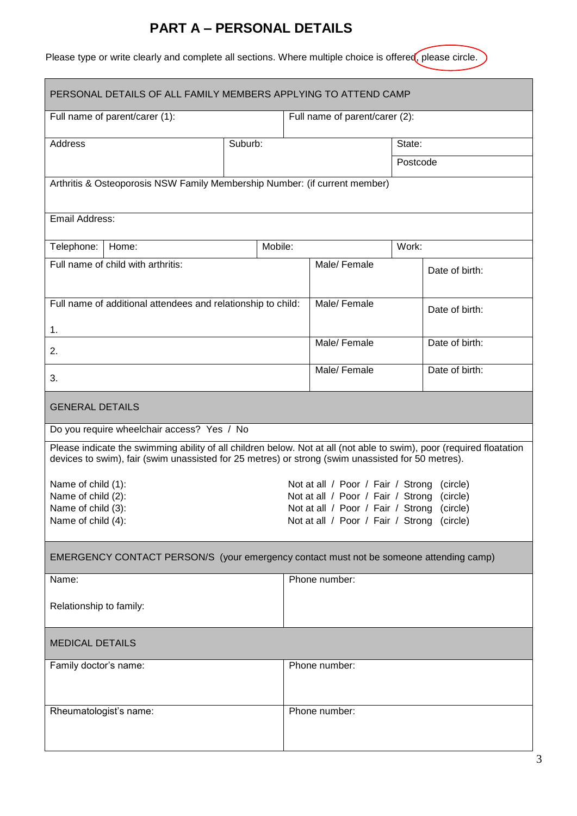# **PART A – PERSONAL DETAILS**

Please type or write clearly and complete all sections. Where multiple choice is offered, please circle.

| PERSONAL DETAILS OF ALL FAMILY MEMBERS APPLYING TO ATTEND CAMP                                                                                                                                                            |         |                                                                                                |                                            |                |                |
|---------------------------------------------------------------------------------------------------------------------------------------------------------------------------------------------------------------------------|---------|------------------------------------------------------------------------------------------------|--------------------------------------------|----------------|----------------|
| Full name of parent/carer (1):                                                                                                                                                                                            |         |                                                                                                | Full name of parent/carer (2):             |                |                |
| <b>Address</b>                                                                                                                                                                                                            | Suburb: |                                                                                                |                                            | State:         |                |
|                                                                                                                                                                                                                           |         |                                                                                                |                                            | Postcode       |                |
| Arthritis & Osteoporosis NSW Family Membership Number: (if current member)                                                                                                                                                |         |                                                                                                |                                            |                |                |
| Email Address:                                                                                                                                                                                                            |         |                                                                                                |                                            |                |                |
| Telephone:<br>Home:                                                                                                                                                                                                       |         | Mobile:                                                                                        |                                            | Work:          |                |
| Full name of child with arthritis:                                                                                                                                                                                        |         |                                                                                                | Male/ Female                               |                | Date of birth: |
| Full name of additional attendees and relationship to child:                                                                                                                                                              |         |                                                                                                | Male/Female                                |                | Date of birth: |
| 1.<br>2.                                                                                                                                                                                                                  |         | Male/ Female                                                                                   |                                            | Date of birth: |                |
| 3.                                                                                                                                                                                                                        |         |                                                                                                | Male/Female                                |                | Date of birth: |
| <b>GENERAL DETAILS</b>                                                                                                                                                                                                    |         |                                                                                                |                                            |                |                |
| Do you require wheelchair access? Yes / No                                                                                                                                                                                |         |                                                                                                |                                            |                |                |
| Please indicate the swimming ability of all children below. Not at all (not able to swim), poor (required floatation<br>devices to swim), fair (swim unassisted for 25 metres) or strong (swim unassisted for 50 metres). |         |                                                                                                |                                            |                |                |
| Name of child (1):                                                                                                                                                                                                        |         |                                                                                                | Not at all / Poor / Fair / Strong          |                | (circle)       |
| Name of child (2):<br>Name of child (3):                                                                                                                                                                                  |         | Not at all / Poor / Fair / Strong<br>(circle)<br>Not at all / Poor / Fair / Strong<br>(circle) |                                            |                |                |
| Name of child (4):                                                                                                                                                                                                        |         |                                                                                                | Not at all / Poor / Fair / Strong (circle) |                |                |
| EMERGENCY CONTACT PERSON/S (your emergency contact must not be someone attending camp)                                                                                                                                    |         |                                                                                                |                                            |                |                |
| Name:                                                                                                                                                                                                                     |         |                                                                                                | Phone number:                              |                |                |
| Relationship to family:                                                                                                                                                                                                   |         |                                                                                                |                                            |                |                |
| <b>MEDICAL DETAILS</b>                                                                                                                                                                                                    |         |                                                                                                |                                            |                |                |
| Family doctor's name:                                                                                                                                                                                                     |         |                                                                                                | Phone number:                              |                |                |
| Rheumatologist's name:                                                                                                                                                                                                    |         | Phone number:                                                                                  |                                            |                |                |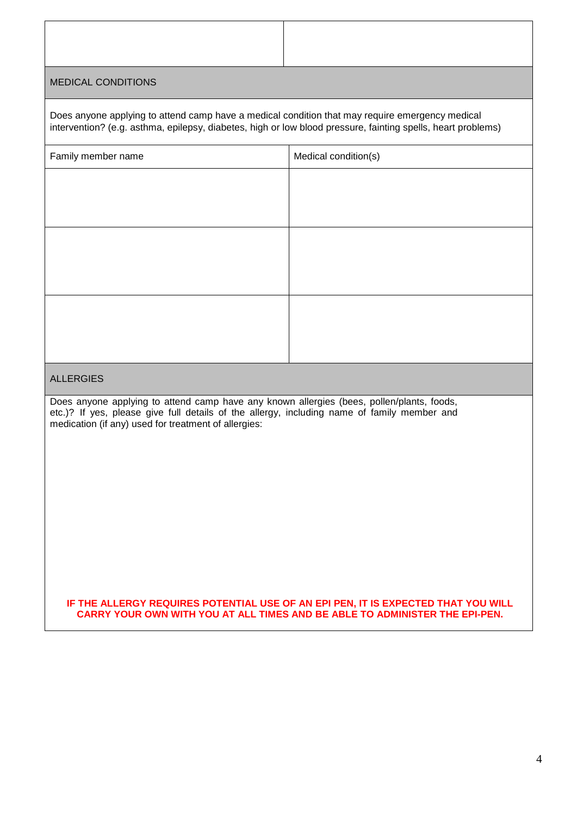#### MEDICAL CONDITIONS

| Does anyone applying to attend camp have a medical condition that may require emergency medical<br>intervention? (e.g. asthma, epilepsy, diabetes, high or low blood pressure, fainting spells, heart problems) |                      |  |  |  |
|-----------------------------------------------------------------------------------------------------------------------------------------------------------------------------------------------------------------|----------------------|--|--|--|
| Family member name                                                                                                                                                                                              | Medical condition(s) |  |  |  |
|                                                                                                                                                                                                                 |                      |  |  |  |
|                                                                                                                                                                                                                 |                      |  |  |  |
|                                                                                                                                                                                                                 |                      |  |  |  |
|                                                                                                                                                                                                                 |                      |  |  |  |
|                                                                                                                                                                                                                 |                      |  |  |  |
|                                                                                                                                                                                                                 |                      |  |  |  |
|                                                                                                                                                                                                                 |                      |  |  |  |
|                                                                                                                                                                                                                 |                      |  |  |  |

#### ALLERGIES

Does anyone applying to attend camp have any known allergies (bees, pollen/plants, foods, etc.)? If yes, please give full details of the allergy, including name of family member and medication (if any) used for treatment of allergies:

**IF THE ALLERGY REQUIRES POTENTIAL USE OF AN EPI PEN, IT IS EXPECTED THAT YOU WILL CARRY YOUR OWN WITH YOU AT ALL TIMES AND BE ABLE TO ADMINISTER THE EPI-PEN.**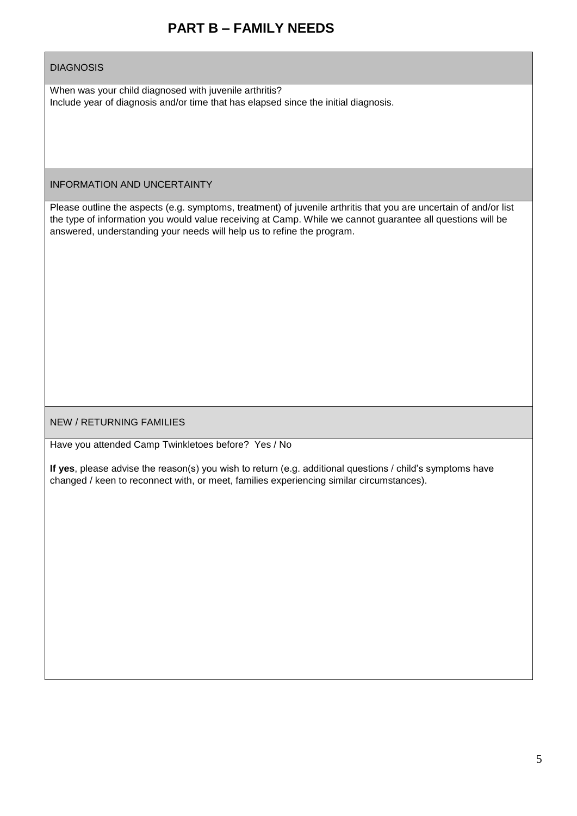# **PART B – FAMILY NEEDS**

#### **DIAGNOSIS**

When was your child diagnosed with juvenile arthritis? Include year of diagnosis and/or time that has elapsed since the initial diagnosis.

INFORMATION AND UNCERTAINTY

Please outline the aspects (e.g. symptoms, treatment) of juvenile arthritis that you are uncertain of and/or list the type of information you would value receiving at Camp. While we cannot guarantee all questions will be answered, understanding your needs will help us to refine the program.

NEW / RETURNING FAMILIES

Have you attended Camp Twinkletoes before? Yes / No

**If yes**, please advise the reason(s) you wish to return (e.g. additional questions / child's symptoms have changed / keen to reconnect with, or meet, families experiencing similar circumstances).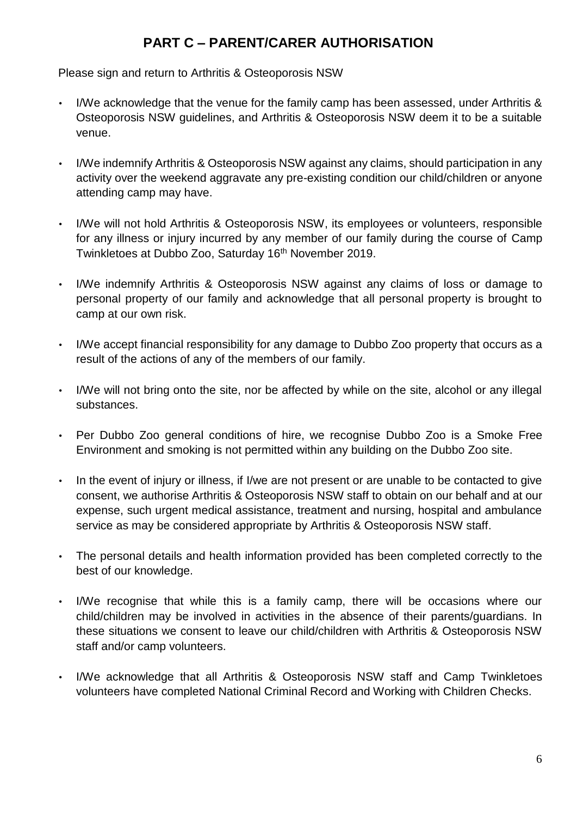# **PART C – PARENT/CARER AUTHORISATION**

Please sign and return to Arthritis & Osteoporosis NSW

- I/We acknowledge that the venue for the family camp has been assessed, under Arthritis & Osteoporosis NSW guidelines, and Arthritis & Osteoporosis NSW deem it to be a suitable venue.
- I/We indemnify Arthritis & Osteoporosis NSW against any claims, should participation in any activity over the weekend aggravate any pre-existing condition our child/children or anyone attending camp may have.
- I/We will not hold Arthritis & Osteoporosis NSW, its employees or volunteers, responsible for any illness or injury incurred by any member of our family during the course of Camp Twinkletoes at Dubbo Zoo, Saturday 16<sup>th</sup> November 2019.
- I/We indemnify Arthritis & Osteoporosis NSW against any claims of loss or damage to personal property of our family and acknowledge that all personal property is brought to camp at our own risk.
- I/We accept financial responsibility for any damage to Dubbo Zoo property that occurs as a result of the actions of any of the members of our family.
- I/We will not bring onto the site, nor be affected by while on the site, alcohol or any illegal substances.
- Per Dubbo Zoo general conditions of hire, we recognise Dubbo Zoo is a Smoke Free Environment and smoking is not permitted within any building on the Dubbo Zoo site.
- In the event of injury or illness, if I/we are not present or are unable to be contacted to give consent, we authorise Arthritis & Osteoporosis NSW staff to obtain on our behalf and at our expense, such urgent medical assistance, treatment and nursing, hospital and ambulance service as may be considered appropriate by Arthritis & Osteoporosis NSW staff.
- The personal details and health information provided has been completed correctly to the best of our knowledge.
- I/We recognise that while this is a family camp, there will be occasions where our child/children may be involved in activities in the absence of their parents/guardians. In these situations we consent to leave our child/children with Arthritis & Osteoporosis NSW staff and/or camp volunteers.
- I/We acknowledge that all Arthritis & Osteoporosis NSW staff and Camp Twinkletoes volunteers have completed National Criminal Record and Working with Children Checks.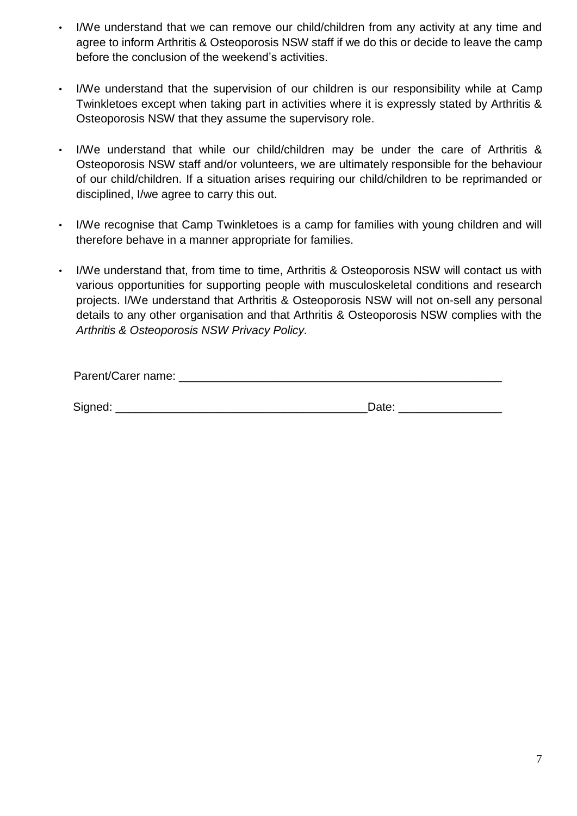- I/We understand that we can remove our child/children from any activity at any time and agree to inform Arthritis & Osteoporosis NSW staff if we do this or decide to leave the camp before the conclusion of the weekend's activities.
- I/We understand that the supervision of our children is our responsibility while at Camp Twinkletoes except when taking part in activities where it is expressly stated by Arthritis & Osteoporosis NSW that they assume the supervisory role.
- I/We understand that while our child/children may be under the care of Arthritis & Osteoporosis NSW staff and/or volunteers, we are ultimately responsible for the behaviour of our child/children. If a situation arises requiring our child/children to be reprimanded or disciplined, I/we agree to carry this out.
- I/We recognise that Camp Twinkletoes is a camp for families with young children and will therefore behave in a manner appropriate for families.
- I/We understand that, from time to time, Arthritis & Osteoporosis NSW will contact us with various opportunities for supporting people with musculoskeletal conditions and research projects. I/We understand that Arthritis & Osteoporosis NSW will not on-sell any personal details to any other organisation and that Arthritis & Osteoporosis NSW complies with the *Arthritis & Osteoporosis NSW Privacy Policy.*

Signed: \_\_\_\_\_\_\_\_\_\_\_\_\_\_\_\_\_\_\_\_\_\_\_\_\_\_\_\_\_\_\_\_\_\_\_\_\_\_\_Date: \_\_\_\_\_\_\_\_\_\_\_\_\_\_\_\_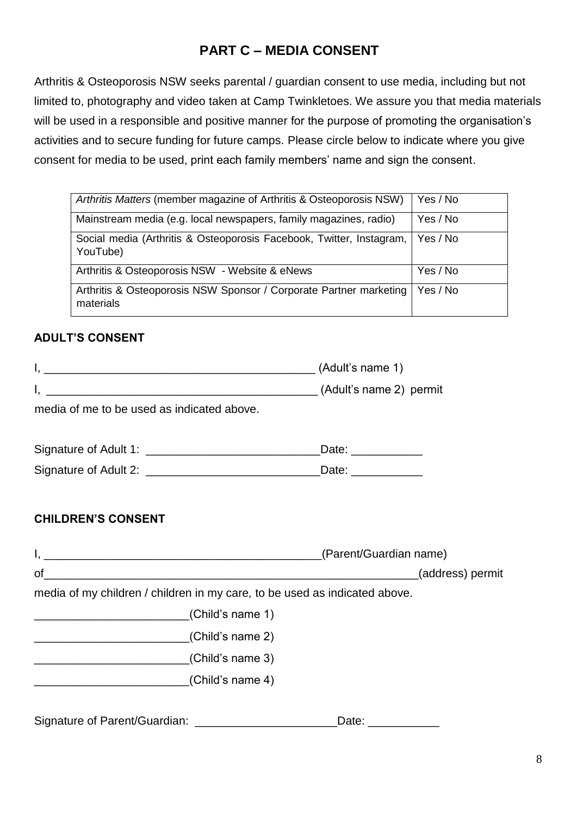# **PART C – MEDIA CONSENT**

Arthritis & Osteoporosis NSW seeks parental / guardian consent to use media, including but not limited to, photography and video taken at Camp Twinkletoes. We assure you that media materials will be used in a responsible and positive manner for the purpose of promoting the organisation's activities and to secure funding for future camps. Please circle below to indicate where you give consent for media to be used, print each family members' name and sign the consent.

| Arthritis Matters (member magazine of Arthritis & Osteoporosis NSW)              | Yes / No |
|----------------------------------------------------------------------------------|----------|
| Mainstream media (e.g. local newspapers, family magazines, radio)                | Yes / No |
| Social media (Arthritis & Osteoporosis Facebook, Twitter, Instagram,<br>YouTube) | Yes / No |
| Arthritis & Osteoporosis NSW - Website & eNews                                   | Yes / No |
| Arthritis & Osteoporosis NSW Sponsor / Corporate Partner marketing<br>materials  | Yes / No |

# **ADULT'S CONSENT**

|                                            | (Adult's name 1)    |
|--------------------------------------------|---------------------|
|                                            |                     |
| media of me to be used as indicated above. |                     |
|                                            | Date: _____________ |
|                                            | Date: ____________  |
|                                            |                     |
| <b>CHILDREN'S CONSENT</b>                  |                     |

|                                                                            | (Parent/Guardian name) |  |  |
|----------------------------------------------------------------------------|------------------------|--|--|
| οf                                                                         | (address) permit       |  |  |
| media of my children / children in my care, to be used as indicated above. |                        |  |  |
| (Child's name 1)                                                           |                        |  |  |
| (Child's name 2)                                                           |                        |  |  |
| (Child's name 3)                                                           |                        |  |  |
| (Child's name 4)                                                           |                        |  |  |
|                                                                            |                        |  |  |
|                                                                            |                        |  |  |

Signature of Parent/Guardian: \_\_\_\_\_\_\_\_\_\_\_\_\_\_\_\_\_\_\_\_\_\_\_\_\_\_\_\_Date: \_\_\_\_\_\_\_\_\_\_\_\_\_\_\_\_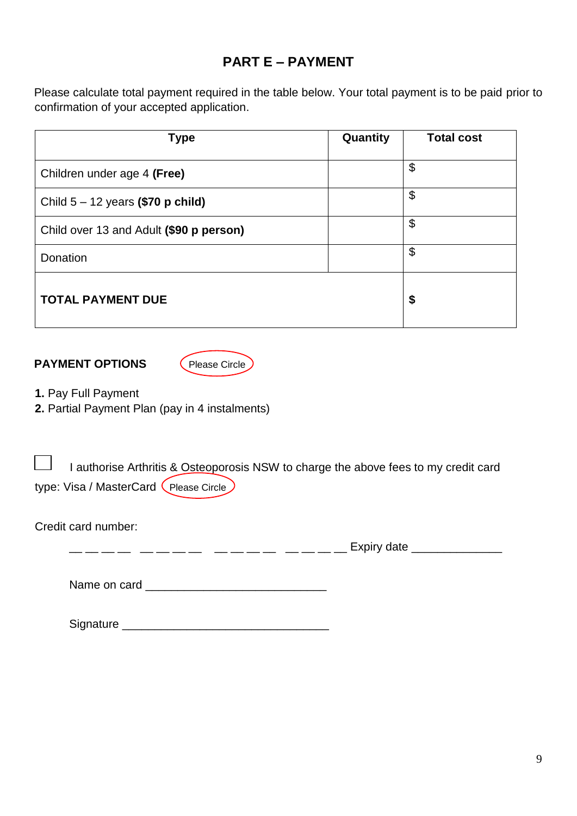# **PART E – PAYMENT**

Please calculate total payment required in the table below. Your total payment is to be paid prior to confirmation of your accepted application.

| <b>Type</b>                             | Quantity | <b>Total cost</b> |
|-----------------------------------------|----------|-------------------|
| Children under age 4 (Free)             |          | \$                |
| Child $5 - 12$ years (\$70 p child)     |          | \$                |
| Child over 13 and Adult (\$90 p person) |          | \$                |
| Donation                                |          | \$                |
| <b>TOTAL PAYMENT DUE</b>                |          | \$                |

**PAYMENT OPTIONS** (Please Circle)



**1.** Pay Full Payment

**2.** Partial Payment Plan (pay in 4 instalments)

| <b>Contract Contract</b> |                                         | I authorise Arthritis & Osteoporosis NSW to charge the above fees to my credit card |  |
|--------------------------|-----------------------------------------|-------------------------------------------------------------------------------------|--|
|                          | type: Visa / MasterCard (Please Circle) |                                                                                     |  |

Credit card number:

 $\frac{\frac{1}{2} - \frac{1}{2} - \frac{1}{2} - \frac{1}{2} - \frac{1}{2} - \frac{1}{2}}{1 - \frac{1}{2} - \frac{1}{2} - \frac{1}{2} - \frac{1}{2}} = \frac{\frac{1}{2} - \frac{1}{2} - \frac{1}{2} - \frac{1}{2} - \frac{1}{2}}{1 - \frac{1}{2} - \frac{1}{2} - \frac{1}{2} - \frac{1}{2}} = \frac{\frac{1}{2} - \frac{1}{2} - \frac{1}{2} - \frac{1}{2}}{1 - \frac{1}{2} - \frac{1}{2}} = \frac{\frac{1}{2$ 

Name on card \_\_\_\_\_\_\_\_\_\_\_\_\_\_\_\_\_\_\_\_\_\_\_\_\_\_\_\_

Signature \_\_\_\_\_\_\_\_\_\_\_\_\_\_\_\_\_\_\_\_\_\_\_\_\_\_\_\_\_\_\_\_